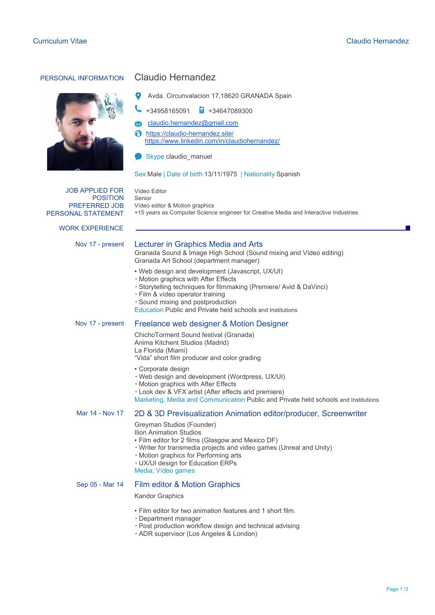

# PERSONAL INFORMATION Claudio Hernandez

Avda. Circunvalacion 17,18620 GRANADA Spain

+34958165091 +34647089300

[claudio.hernandez@gmail.com](mailto:claudio.hernandez@gmail.com)

<https://claudio-hernandez.site/>

<https://www.linkedin.com/in/claudiohernandez/>

Skype claudio\_manuel

Vídeo editor & Motion graphics

Vídeo Editor Senior

#### Sex Male | Date of birth 13/11/1975 | Nationality Spanish

JOB APPLIED FOR POSITION PREFERRED JOB PERSONAL STATEMENT

WORK EXPERIENCE

## Nov 17 - present Lecturer in Graphics Media and Arts

Granada Sound & Image High School (Sound mixing and Vídeo editing) Granada Art School (department manager)

+15 years as Computer Science engineer for Creative Media and Interactive Industries

- Web design and development (Javascript, UX/UI)
- Motion graphics with After Effects
- Storytelling techniques for filmmaking (Premiere/ Avid & DaVinci)
- Film & vídeo operator training
- Sound mixing and postproduction

Education Public and Private held schools and Institutions

# Nov 17 - present Freelance web designer & Motion Designer

- ChichoTorment Sound festival (Granada) Anima Kitchent Studios (Madrid) La Florida (Miami) "Vida" short film producer and color grading
- Corporate design
- Web design and development (Wordpress, UX/UI)
- Motion graphics with After Effects
- Look dev & VFX artist (After effects and premiere)

Marketing, Media and Communication Public and Private held schools and Institutions

#### Mar 14 - Nov 17 2D & 3D Previsualization Animation editor/producer, Screenwriter

Greyman Studios (Founder) Ilion Animation Studios

- 
- Film editor for 2 films (Glasgow and Mexico DF)
- Writer for transmedia projects and video games (Unreal and Unity)
- Motion graphics for Performing arts
- UX/UI design for Education ERPs
- Media, Vídeo games

# Sep 05 - Mar 14 Film editor & Motion Graphics

#### Kandor Graphics

- Film editor for two animation features and 1 short film.
- Department manager
- Post production workflow design and technical advising
- ADR supervisor (Los Angeles & London)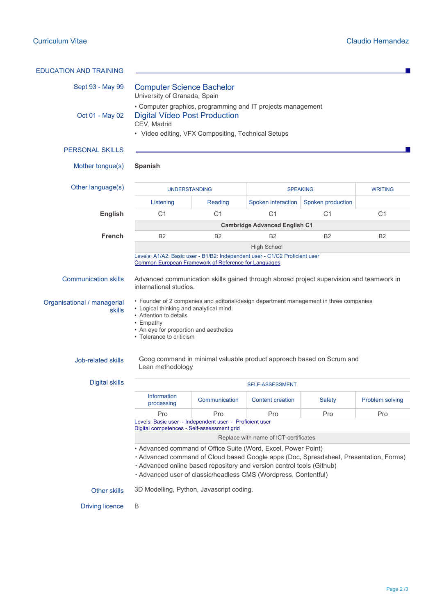| <b>EDUCATION AND TRAINING</b>                                      |                                                                                                                                                                                                                                                                                                                                            |                |                         |                   |                 |
|--------------------------------------------------------------------|--------------------------------------------------------------------------------------------------------------------------------------------------------------------------------------------------------------------------------------------------------------------------------------------------------------------------------------------|----------------|-------------------------|-------------------|-----------------|
| Sept 93 - May 99                                                   | <b>Computer Science Bachelor</b><br>University of Granada, Spain                                                                                                                                                                                                                                                                           |                |                         |                   |                 |
| Oct 01 - May 02                                                    | - Computer graphics, programming and IT projects management<br><b>Digital Vídeo Post Production</b><br>CEV, Madrid<br>• Vídeo editing, VFX Compositing, Technical Setups                                                                                                                                                                   |                |                         |                   |                 |
| <b>PERSONAL SKILLS</b>                                             |                                                                                                                                                                                                                                                                                                                                            |                |                         |                   |                 |
| Mother tongue(s)                                                   | <b>Spanish</b>                                                                                                                                                                                                                                                                                                                             |                |                         |                   |                 |
| Other language(s)                                                  | <b>UNDERSTANDING</b>                                                                                                                                                                                                                                                                                                                       |                | <b>SPEAKING</b>         |                   | <b>WRITING</b>  |
|                                                                    | Listening                                                                                                                                                                                                                                                                                                                                  | Reading        | Spoken interaction      | Spoken production |                 |
| <b>English</b>                                                     | C <sub>1</sub>                                                                                                                                                                                                                                                                                                                             | C <sub>1</sub> | C <sub>1</sub>          | C <sub>1</sub>    | C <sub>1</sub>  |
|                                                                    | <b>Cambridge Advanced English C1</b>                                                                                                                                                                                                                                                                                                       |                |                         |                   |                 |
| <b>French</b>                                                      | <b>B2</b>                                                                                                                                                                                                                                                                                                                                  | <b>B2</b>      | <b>B2</b>               | <b>B2</b>         | <b>B2</b>       |
|                                                                    |                                                                                                                                                                                                                                                                                                                                            |                | <b>High School</b>      |                   |                 |
| Organisational / managerial<br><b>skills</b><br>Job-related skills | • Founder of 2 companies and editorial/design department management in three companies<br>• Logical thinking and analytical mind.<br>• Attention to details<br>• Empathy<br>• An eye for proportion and aesthetics<br>• Tolerance to criticism<br>Goog command in minimal valuable product approach based on Scrum and<br>Lean methodology |                |                         |                   |                 |
| <b>Digital skills</b>                                              | SELF-ASSESSMENT                                                                                                                                                                                                                                                                                                                            |                |                         |                   |                 |
|                                                                    | <b>Information</b><br>processing                                                                                                                                                                                                                                                                                                           | Communication  | <b>Content creation</b> | Safety            | Problem solving |
|                                                                    | Pro                                                                                                                                                                                                                                                                                                                                        | Pro            | Pro                     | Pro               | Pro             |
|                                                                    | Levels: Basic user - Independent user - Proficient user<br>Digital competences - Self-assessment grid                                                                                                                                                                                                                                      |                |                         |                   |                 |
|                                                                    | Replace with name of ICT-certificates                                                                                                                                                                                                                                                                                                      |                |                         |                   |                 |
|                                                                    | - Advanced command of Office Suite (Word, Excel, Power Point)<br>· Advanced command of Cloud based Google apps (Doc, Spreadsheet, Presentation, Forms)<br>· Advanced online based repository and version control tools (Github)<br>· Advanced user of classic/headless CMS (Wordpress, Contentful)                                         |                |                         |                   |                 |
| Other skills                                                       | 3D Modelling, Python, Javascript coding.                                                                                                                                                                                                                                                                                                   |                |                         |                   |                 |
| <b>Driving licence</b>                                             | B                                                                                                                                                                                                                                                                                                                                          |                |                         |                   |                 |